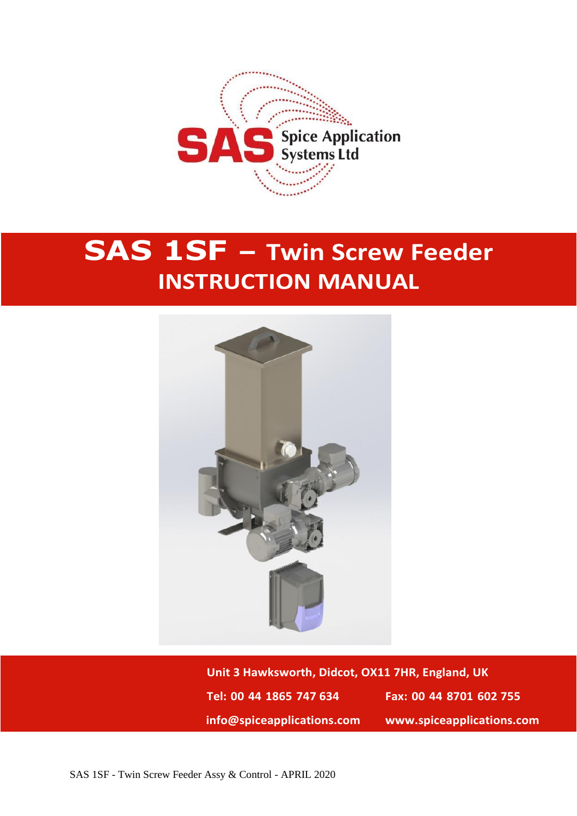

## **SAS 1SF – Twin Screw Feeder INSTRUCTION MANUAL**



**Unit 3 Hawksworth, Didcot, OX11 7HR, England, UK Tel: 00 44 1865 747 634 Fax: 00 44 8701 602 755 info@spiceapplications.com www.spiceapplications.com**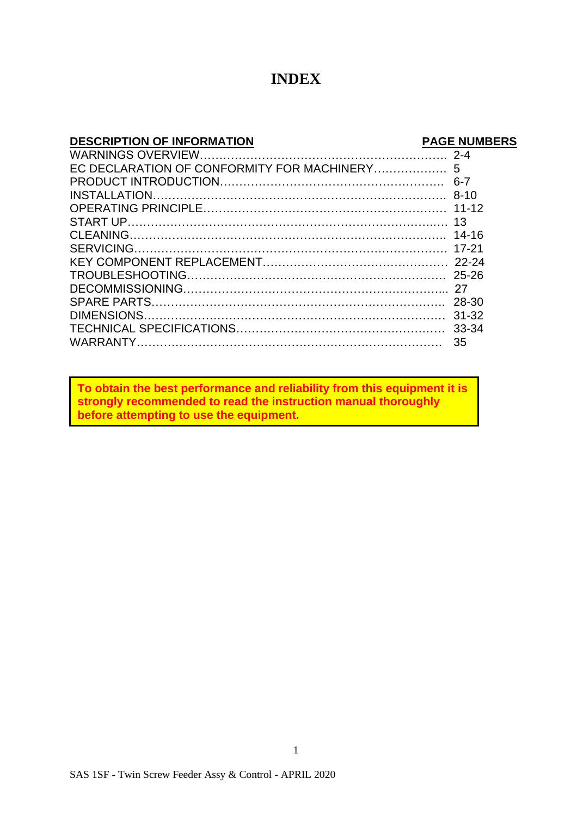#### **INDEX**

| <b>DESCRIPTION OF INFORMATION</b> | <b>PAGE NUMBERS</b> |
|-----------------------------------|---------------------|
|                                   |                     |
|                                   |                     |
|                                   |                     |
|                                   |                     |
|                                   |                     |
|                                   |                     |
|                                   |                     |
|                                   |                     |
|                                   |                     |
|                                   |                     |
|                                   |                     |
|                                   |                     |
|                                   |                     |
|                                   |                     |
|                                   |                     |
|                                   |                     |

**To obtain the best performance and reliability from this equipment it is strongly recommended to read the instruction manual thoroughly before attempting to use the equipment.**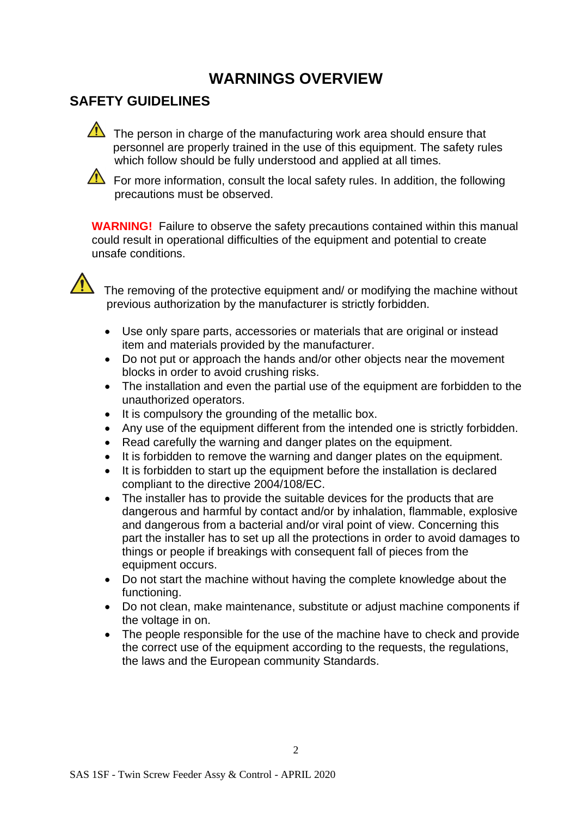## **WARNINGS OVERVIEW**

## **SAFETY GUIDELINES**

The person in charge of the manufacturing work area should ensure that personnel are properly trained in the use of this equipment. The safety rules which follow should be fully understood and applied at all times.

 $\triangle$  For more information, consult the local safety rules. In addition, the following precautions must be observed.

**WARNING!** Failure to observe the safety precautions contained within this manual could result in operational difficulties of the equipment and potential to create unsafe conditions.



The removing of the protective equipment and/ or modifying the machine without previous authorization by the manufacturer is strictly forbidden.

- Use only spare parts, accessories or materials that are original or instead item and materials provided by the manufacturer.
- Do not put or approach the hands and/or other objects near the movement blocks in order to avoid crushing risks.
- The installation and even the partial use of the equipment are forbidden to the unauthorized operators.
- It is compulsory the grounding of the metallic box.
- Any use of the equipment different from the intended one is strictly forbidden.
- Read carefully the warning and danger plates on the equipment.
- It is forbidden to remove the warning and danger plates on the equipment.
- It is forbidden to start up the equipment before the installation is declared compliant to the directive 2004/108/EC.
- The installer has to provide the suitable devices for the products that are dangerous and harmful by contact and/or by inhalation, flammable, explosive and dangerous from a bacterial and/or viral point of view. Concerning this part the installer has to set up all the protections in order to avoid damages to things or people if breakings with consequent fall of pieces from the equipment occurs.
- Do not start the machine without having the complete knowledge about the functioning.
- Do not clean, make maintenance, substitute or adjust machine components if the voltage in on.
- The people responsible for the use of the machine have to check and provide the correct use of the equipment according to the requests, the regulations, the laws and the European community Standards.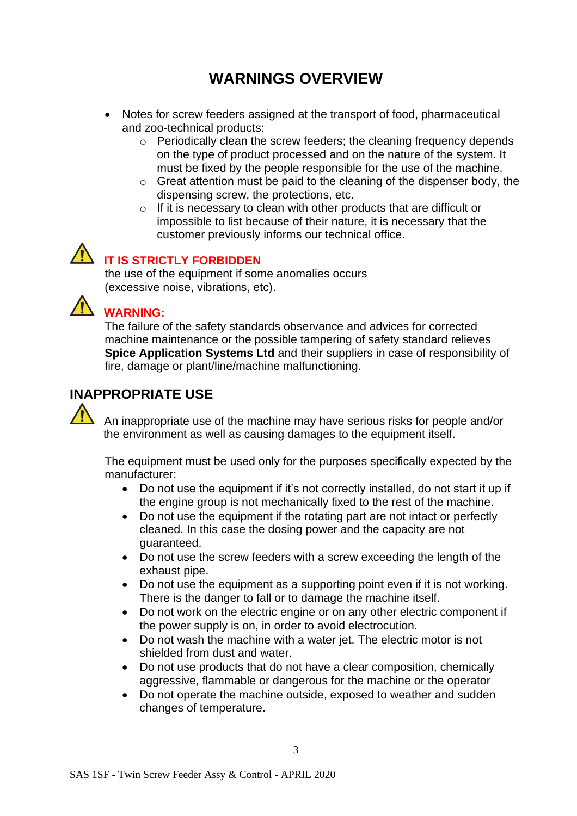## **WARNINGS OVERVIEW**

- Notes for screw feeders assigned at the transport of food, pharmaceutical and zoo-technical products:
	- o Periodically clean the screw feeders; the cleaning frequency depends on the type of product processed and on the nature of the system. It must be fixed by the people responsible for the use of the machine.
	- o Great attention must be paid to the cleaning of the dispenser body, the dispensing screw, the protections, etc.
	- $\circ$  If it is necessary to clean with other products that are difficult or impossible to list because of their nature, it is necessary that the customer previously informs our technical office.

#### **IT IS STRICTLY FORBIDDEN**

the use of the equipment if some anomalies occurs (excessive noise, vibrations, etc).



#### **WARNING:**

The failure of the safety standards observance and advices for corrected machine maintenance or the possible tampering of safety standard relieves **Spice Application Systems Ltd** and their suppliers in case of responsibility of fire, damage or plant/line/machine malfunctioning.

#### **INAPPROPRIATE USE**

An inappropriate use of the machine may have serious risks for people and/or the environment as well as causing damages to the equipment itself.

The equipment must be used only for the purposes specifically expected by the manufacturer:

- Do not use the equipment if it's not correctly installed, do not start it up if the engine group is not mechanically fixed to the rest of the machine.
- Do not use the equipment if the rotating part are not intact or perfectly cleaned. In this case the dosing power and the capacity are not guaranteed.
- Do not use the screw feeders with a screw exceeding the length of the exhaust pipe.
- Do not use the equipment as a supporting point even if it is not working. There is the danger to fall or to damage the machine itself.
- Do not work on the electric engine or on any other electric component if the power supply is on, in order to avoid electrocution.
- Do not wash the machine with a water jet. The electric motor is not shielded from dust and water.
- Do not use products that do not have a clear composition, chemically aggressive, flammable or dangerous for the machine or the operator
- Do not operate the machine outside, exposed to weather and sudden changes of temperature.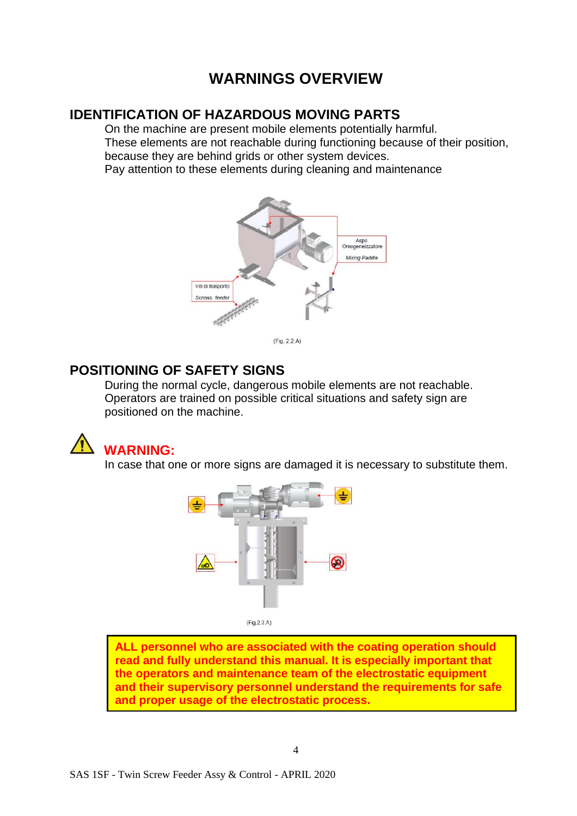## **WARNINGS OVERVIEW**

#### **IDENTIFICATION OF HAZARDOUS MOVING PARTS**

On the machine are present mobile elements potentially harmful. These elements are not reachable during functioning because of their position, because they are behind grids or other system devices. Pay attention to these elements during cleaning and maintenance



 $(Fig. 2.2.A)$ 

#### **POSITIONING OF SAFETY SIGNS**

During the normal cycle, dangerous mobile elements are not reachable. Operators are trained on possible critical situations and safety sign are positioned on the machine.



In case that one or more signs are damaged it is necessary to substitute them.



 $(Fig.2.3.A)$ 

**ALL personnel who are associated with the coating operation should read and fully understand this manual. It is especially important that the operators and maintenance team of the electrostatic equipment and their supervisory personnel understand the requirements for safe and proper usage of the electrostatic process.**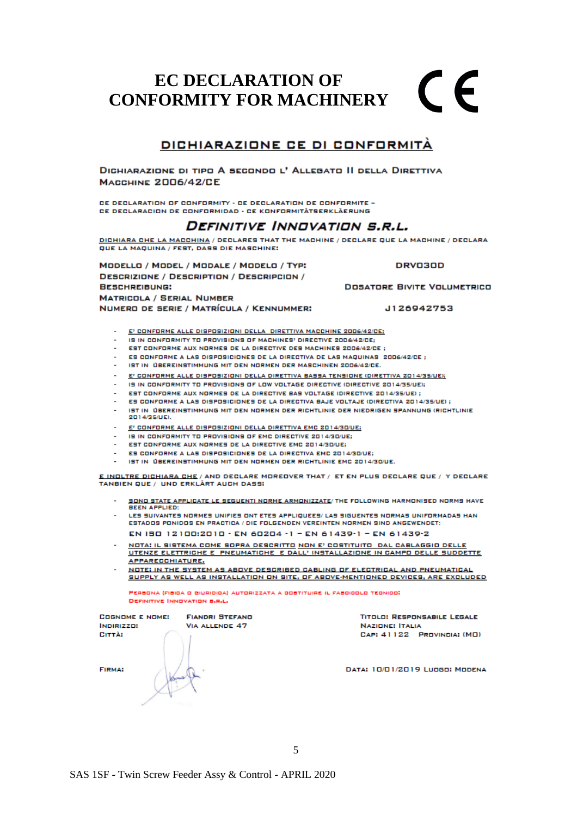#### **EC DECLARATION OF**   $\epsilon$ **CONFORMITY FOR MACHINERY**

#### DICHIARAZIONE CE DI CONFORMITÀ

DIGHIARAZIONE DI TIPO A SECONDO L' ALLEGATO II DELLA DIRETTIVA **МАССНІМЕ 2006/42/СЕ** 

PE DEPLABATION OF CONFORMITY - PE DEPLABATION DE CONFORMITE -CE DECIARACION DE CONFORMIDAD - CE KONFORMITÂTSFRKI ÂFRIING

#### DEFINITIVE INNOVATION S.R.L.

DICHIARA CHE LA MACCHINA / DECLARES THAT THE MACHINE / DECLARE QUE LA MACHINE / DECLARA QUE LA MAQUINA / FEST, DASS DIE MASCHINE:

MODELLO / MODEL / MODALE / MODELO / TYP: **DESCRIZIONE / DESCRIPTION / DESCRIPCION / BESCHREIBUNG: MATRICOLA / SERIAL NUMBER** NUMERO DE SERIE / MATRÍCULA / KENNUMMER:

**DRV030D** 

**DOSATORE BIVITE VOLUMETRICO** 

J126942753

- E' CONFORME ALLE DISPOSIZIONI DELLA DIRETTIVA MACCHINE 2006/42/CE;
- IS IN CONFORMITY TO PROVISIONS OF MACHINES' DIRECTIVE 2006/42/CE;
- EST CONFORME AUX NORMES DE LA DIRECTIVE DES MACHINES 2006/42/CE ;
- ES CONFORME A LAS DISPOSICIONES DE LA DIRECTIVA DE LAS MAQUINAS 2006/42/CE ;
- IST IN ÜBEREINSTIMMUNG MIT DEN NORMEN DER MASCHINEN 2006/42/CE.
- E' CONFORME ALLE DISPOSIZIONI DELLA DIRETTIVA BASSA TENSIONE (DIRETTIVA 2014/35/UE);
- IS IN CONFORMITY TO PROVISIONS OF LOW VOLTAGE DIRECTIVE (DIRECTIVE 2014/35/UE):
- EST CONFORME AUX NORMES DE LA DIRECTIVE BAS VOLTAGE (DIRECTIVE 2014/35/UE) ;
- ES CONFORME A LAS DISPOSICIONES DE LA DIRECTIVA BAJE VOLTAJE (DIRECTIVA 2014/35/UE) ;
- IST IN ÜBEREINSTIMMUNG MIT DEN NORMEN DER RICHTLINIE DER NIEDRIGEN SPANNUNG (RICHTLINIE 2014/35/UE).
- E' CONFORME ALLE DISPOSIZIONI DELLA DIRETTIVA EMC 2014/30/UE;
- IS IN CONFORMITY TO PROVISIONS OF EMC DIRECTIVE 2014/30/UE:
- EST CONFORME AUX NORMES DE LA DIRECTIVE EMC 2014/30/UE:
- ES CONFORME A LAS DISPOSICIONES DE LA DIRECTIVA EMC 2014/30/UE;
- IST IN ÜBEREINSTIMMUNG MIT DEN NORMEN DER RICHTLINIE EMC 2014/30/UE.

E INDLTRE DICHIARA CHE / AND DECLARE MOREOVER THAT / ET EN PLUS DECLARE QUE / Y DECLARE TANBIEN QUE / UND ERKLÄRT AUCH DASS:

- SONO STATE APPLICATE LE SEGUENTI NORME ARMONIZZATE/ THE FOLLOWING HARMONISED NORMS HAVE **BEEN APPLIED:**
- LES SUIVANTES NORMES UNIFIES ONT ETES APPLIQUEES/ LAS SIGUENTES NORMAS UNIFORMADAS HAN ESTADOS PONIDOS EN PRACTICA / DIE FOLGENDEN VEREINTEN NORMEN SIND ANGEWENDET:

EN 190 12100:2010 · EN 60204 · 1 - EN 61439-1 - EN 61439-2

- <u>NOTA: IL SISTEMA COME SOPRA DESCRITTO NON E' COSTITUITO DAL CABLAGGIO DELLE SUDDETTE UTENZE ELETTRICHE E PNEUMATICHE E DALL' INSTALLAZIONE IN CAMPO DELLE SUDDETTE </u> APPARECCHIATURE.
- NOTE: IN THE SYSTEM AS ABOVE DESCRIBED CABLING OF ELECTRICAL AND PNEUMATICAL SUPPLY AS WELL AS INSTALLATION ON SITE, OF ABOVE-MENTIONED DEVICES, ARE EXCLUDED

PERBONA (FIBIOA O BIURIDIDA) AUTORIZZATA A ODBTITUIRE IL FABOIODLO TEONIOO) **DEFINITIVE INNOVATION B.R.L.** 

| <b>COGNOME E NOME:</b><br><b>INDIRIZZD:</b> | <b>FIANDRI STEFAND</b><br><b>VIA ALLENDE 47</b> | <b>TITOLO: RESPONSABILE LEGALE</b><br><b>NAZIONE: ITALIA</b> |  |  |  |  |
|---------------------------------------------|-------------------------------------------------|--------------------------------------------------------------|--|--|--|--|
| CITTÀ:                                      |                                                 | CAP: 41122 PROVINCIA: (MD)                                   |  |  |  |  |
| <b>FIRMA:</b>                               |                                                 | DATA: 10/01/2019 LUDGO: MODENA                               |  |  |  |  |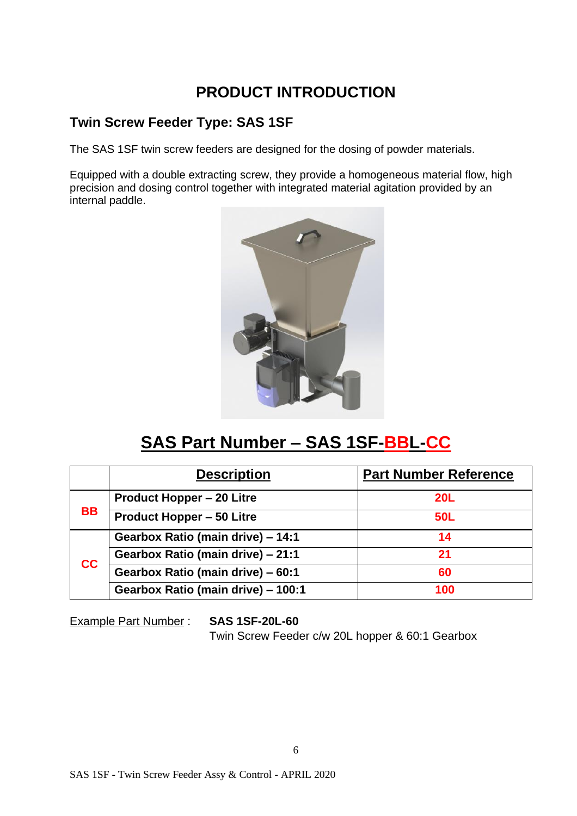## **PRODUCT INTRODUCTION**

#### **Twin Screw Feeder Type: SAS 1SF**

The SAS 1SF twin screw feeders are designed for the dosing of powder materials.

Equipped with a double extracting screw, they provide a homogeneous material flow, high precision and dosing control together with integrated material agitation provided by an internal paddle.



## **SAS Part Number – SAS 1SF-BBL-CC**

|           | <b>Description</b>                 | <b>Part Number Reference</b> |
|-----------|------------------------------------|------------------------------|
|           | <b>Product Hopper - 20 Litre</b>   | <b>20L</b>                   |
| <b>BB</b> | <b>Product Hopper - 50 Litre</b>   | <b>50L</b>                   |
|           | Gearbox Ratio (main drive) - 14:1  | 14                           |
| cc        | Gearbox Ratio (main drive) - 21:1  | 21                           |
|           | Gearbox Ratio (main drive) - 60:1  | 60                           |
|           | Gearbox Ratio (main drive) - 100:1 | 100                          |

Example Part Number : **SAS 1SF-20L-60**

Twin Screw Feeder c/w 20L hopper & 60:1 Gearbox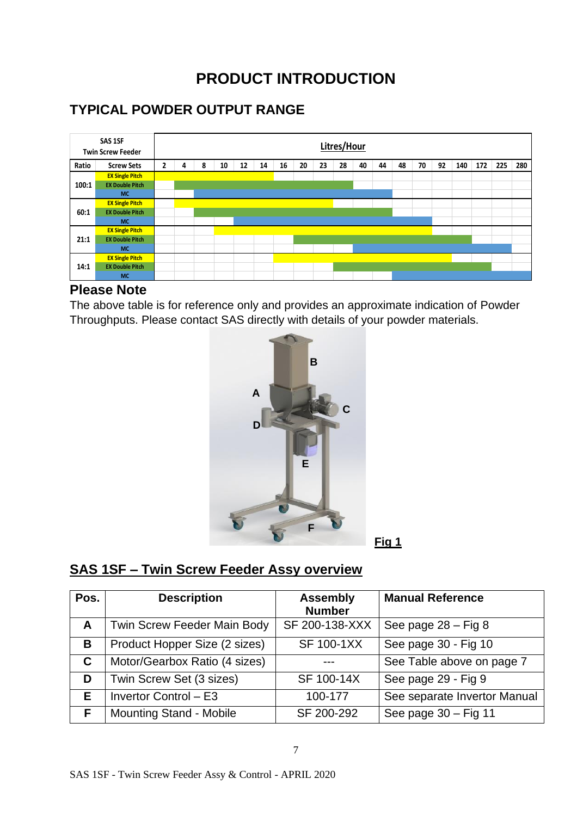## **PRODUCT INTRODUCTION**

## **TYPICAL POWDER OUTPUT RANGE**



#### **Please Note**

The above table is for reference only and provides an approximate indication of Powder Throughputs. Please contact SAS directly with details of your powder materials.



#### **SAS 1SF – Twin Screw Feeder Assy overview**

| Pos. | <b>Description</b>                 | <b>Assembly</b><br><b>Number</b> | <b>Manual Reference</b>      |
|------|------------------------------------|----------------------------------|------------------------------|
| A    | <b>Twin Screw Feeder Main Body</b> | SF 200-138-XXX                   | See page $28 - Fig 8$        |
| В    | Product Hopper Size (2 sizes)      | <b>SF 100-1XX</b>                | See page 30 - Fig 10         |
| C.   | Motor/Gearbox Ratio (4 sizes)      |                                  | See Table above on page 7    |
| D    | Twin Screw Set (3 sizes)           | SF 100-14X                       | See page 29 - Fig 9          |
| Е    | Invertor Control - E3              | 100-177                          | See separate Invertor Manual |
| E    | <b>Mounting Stand - Mobile</b>     | SF 200-292                       | See page $30 - Fig 11$       |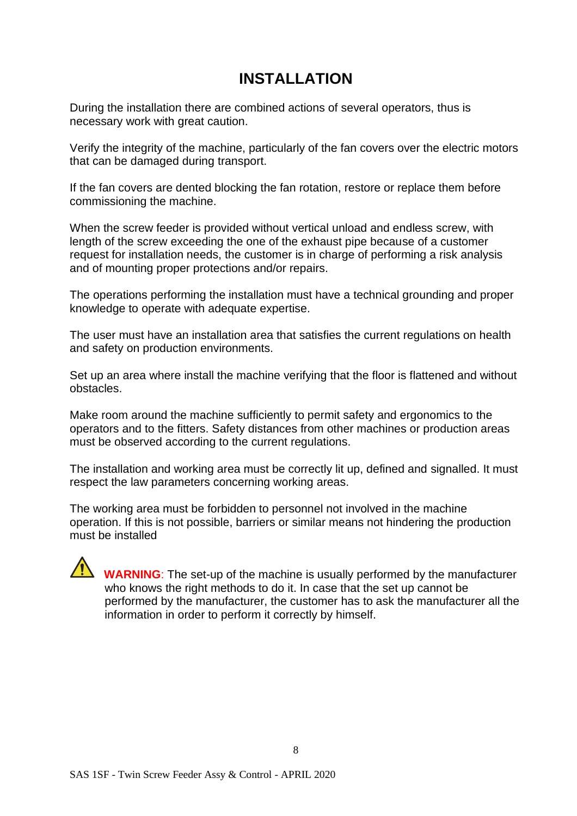## **INSTALLATION**

During the installation there are combined actions of several operators, thus is necessary work with great caution.

Verify the integrity of the machine, particularly of the fan covers over the electric motors that can be damaged during transport.

If the fan covers are dented blocking the fan rotation, restore or replace them before commissioning the machine.

When the screw feeder is provided without vertical unload and endless screw, with length of the screw exceeding the one of the exhaust pipe because of a customer request for installation needs, the customer is in charge of performing a risk analysis and of mounting proper protections and/or repairs.

The operations performing the installation must have a technical grounding and proper knowledge to operate with adequate expertise.

The user must have an installation area that satisfies the current regulations on health and safety on production environments.

Set up an area where install the machine verifying that the floor is flattened and without obstacles.

Make room around the machine sufficiently to permit safety and ergonomics to the operators and to the fitters. Safety distances from other machines or production areas must be observed according to the current regulations.

The installation and working area must be correctly lit up, defined and signalled. It must respect the law parameters concerning working areas.

The working area must be forbidden to personnel not involved in the machine operation. If this is not possible, barriers or similar means not hindering the production must be installed

#### **WARNING**: The set-up of the machine is usually performed by the manufacturer who knows the right methods to do it. In case that the set up cannot be performed by the manufacturer, the customer has to ask the manufacturer all the information in order to perform it correctly by himself.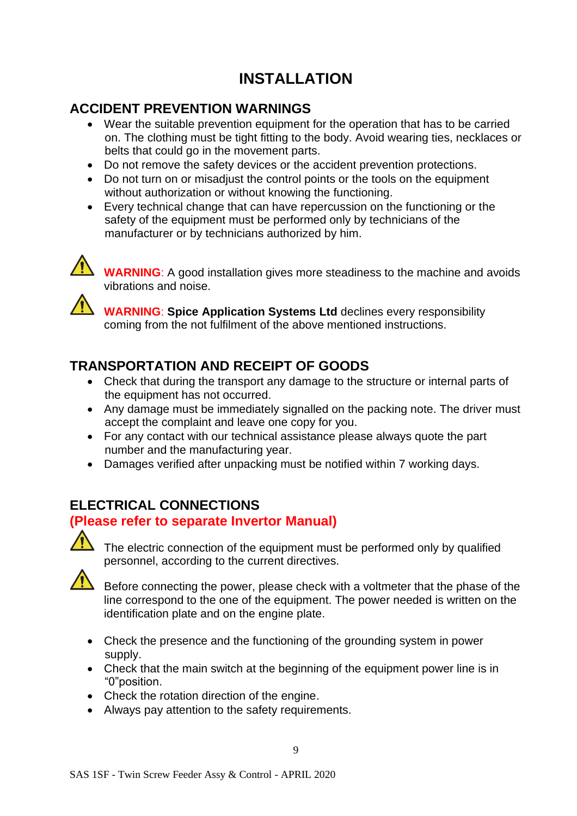## **INSTALLATION**

## **ACCIDENT PREVENTION WARNINGS**

- Wear the suitable prevention equipment for the operation that has to be carried on. The clothing must be tight fitting to the body. Avoid wearing ties, necklaces or belts that could go in the movement parts.
- Do not remove the safety devices or the accident prevention protections.
- Do not turn on or misadiust the control points or the tools on the equipment without authorization or without knowing the functioning.
- Every technical change that can have repercussion on the functioning or the safety of the equipment must be performed only by technicians of the manufacturer or by technicians authorized by him.



**WARNING**: A good installation gives more steadiness to the machine and avoids vibrations and noise.

**WARNING**: **Spice Application Systems Ltd** declines every responsibility coming from the not fulfilment of the above mentioned instructions.

## **TRANSPORTATION AND RECEIPT OF GOODS**

- Check that during the transport any damage to the structure or internal parts of the equipment has not occurred.
- Any damage must be immediately signalled on the packing note. The driver must accept the complaint and leave one copy for you.
- For any contact with our technical assistance please always quote the part number and the manufacturing year.
- Damages verified after unpacking must be notified within 7 working days.

## **ELECTRICAL CONNECTIONS**

#### **(Please refer to separate Invertor Manual)**



The electric connection of the equipment must be performed only by qualified personnel, according to the current directives.



Before connecting the power, please check with a voltmeter that the phase of the line correspond to the one of the equipment. The power needed is written on the identification plate and on the engine plate.

- Check the presence and the functioning of the grounding system in power supply.
- Check that the main switch at the beginning of the equipment power line is in "0"position.
- Check the rotation direction of the engine.
- Always pay attention to the safety requirements.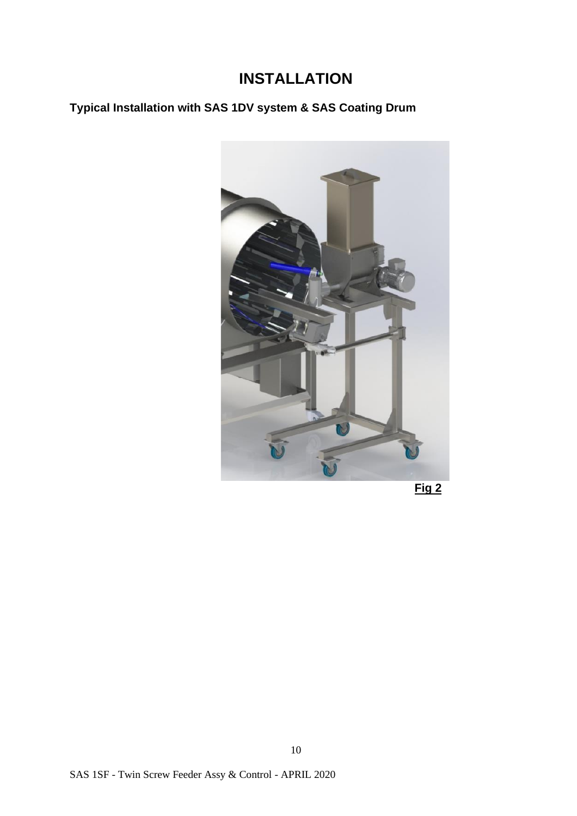## **INSTALLATION**

## **Typical Installation with SAS 1DV system & SAS Coating Drum**



 **Fig 2**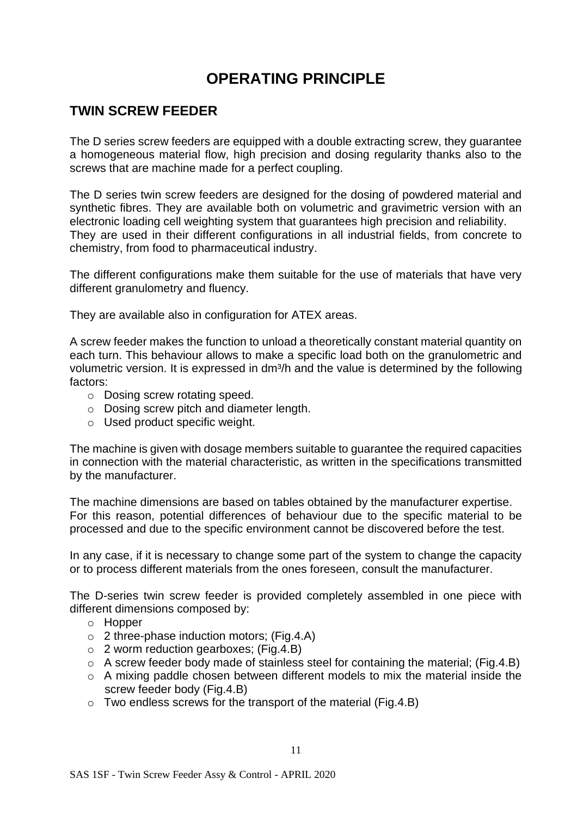## **OPERATING PRINCIPLE**

#### **TWIN SCREW FEEDER**

The D series screw feeders are equipped with a double extracting screw, they guarantee a homogeneous material flow, high precision and dosing regularity thanks also to the screws that are machine made for a perfect coupling.

The D series twin screw feeders are designed for the dosing of powdered material and synthetic fibres. They are available both on volumetric and gravimetric version with an electronic loading cell weighting system that guarantees high precision and reliability. They are used in their different configurations in all industrial fields, from concrete to chemistry, from food to pharmaceutical industry.

The different configurations make them suitable for the use of materials that have very different granulometry and fluency.

They are available also in configuration for ATEX areas.

A screw feeder makes the function to unload a theoretically constant material quantity on each turn. This behaviour allows to make a specific load both on the granulometric and volumetric version. It is expressed in dm<sup>3</sup>/h and the value is determined by the following factors:

- o Dosing screw rotating speed.
- o Dosing screw pitch and diameter length.
- o Used product specific weight.

The machine is given with dosage members suitable to guarantee the required capacities in connection with the material characteristic, as written in the specifications transmitted by the manufacturer.

The machine dimensions are based on tables obtained by the manufacturer expertise. For this reason, potential differences of behaviour due to the specific material to be processed and due to the specific environment cannot be discovered before the test.

In any case, if it is necessary to change some part of the system to change the capacity or to process different materials from the ones foreseen, consult the manufacturer.

The D-series twin screw feeder is provided completely assembled in one piece with different dimensions composed by:

- o Hopper
- $\circ$  2 three-phase induction motors; (Fig.4.A)
- o 2 worm reduction gearboxes; (Fig.4.B)
- o A screw feeder body made of stainless steel for containing the material; (Fig.4.B)
- o A mixing paddle chosen between different models to mix the material inside the screw feeder body (Fig.4.B)
- $\circ$  Two endless screws for the transport of the material (Fig.4.B)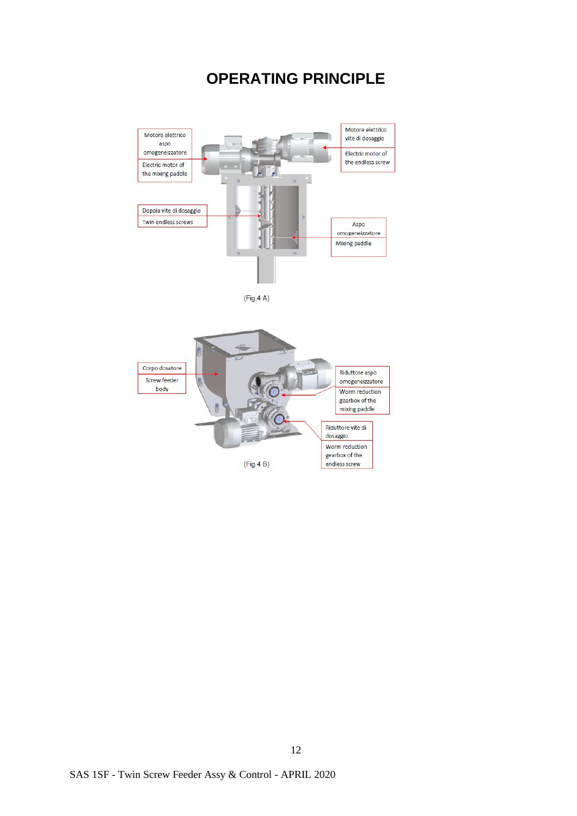## **OPERATING PRINCIPLE**

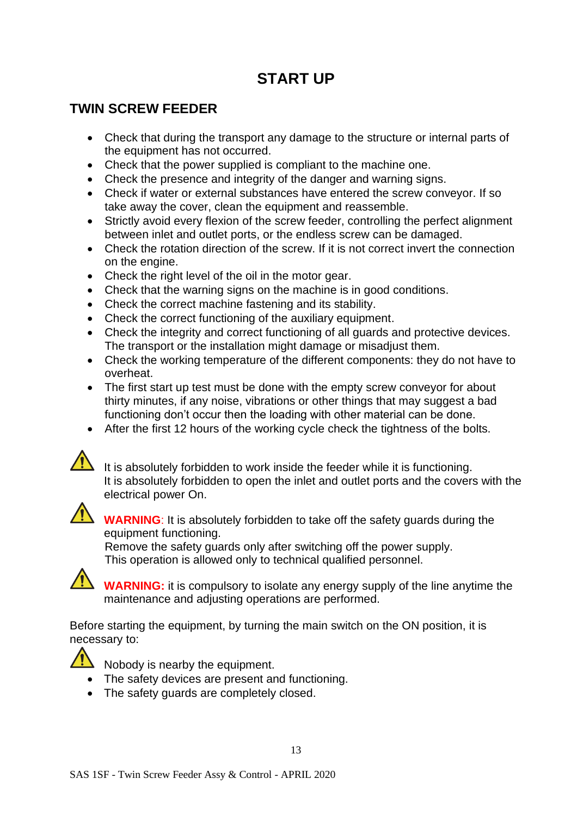## **START UP**

## **TWIN SCREW FEEDER**

- Check that during the transport any damage to the structure or internal parts of the equipment has not occurred.
- Check that the power supplied is compliant to the machine one.
- Check the presence and integrity of the danger and warning signs.
- Check if water or external substances have entered the screw conveyor. If so take away the cover, clean the equipment and reassemble.
- Strictly avoid every flexion of the screw feeder, controlling the perfect alignment between inlet and outlet ports, or the endless screw can be damaged.
- Check the rotation direction of the screw. If it is not correct invert the connection on the engine.
- Check the right level of the oil in the motor gear.
- Check that the warning signs on the machine is in good conditions.
- Check the correct machine fastening and its stability.
- Check the correct functioning of the auxiliary equipment.
- Check the integrity and correct functioning of all guards and protective devices. The transport or the installation might damage or misadjust them.
- Check the working temperature of the different components: they do not have to overheat.
- The first start up test must be done with the empty screw conveyor for about thirty minutes, if any noise, vibrations or other things that may suggest a bad functioning don't occur then the loading with other material can be done.
- After the first 12 hours of the working cycle check the tightness of the bolts.



It is absolutely forbidden to work inside the feeder while it is functioning. It is absolutely forbidden to open the inlet and outlet ports and the covers with the electrical power On.



**WARNING**: It is absolutely forbidden to take off the safety guards during the equipment functioning.

Remove the safety guards only after switching off the power supply. This operation is allowed only to technical qualified personnel.



**WARNING:** it is compulsory to isolate any energy supply of the line anytime the maintenance and adjusting operations are performed.

Before starting the equipment, by turning the main switch on the ON position, it is necessary to:



 $\sum_{n=1}^{\infty}$  Nobody is nearby the equipment.

- The safety devices are present and functioning.
- The safety guards are completely closed.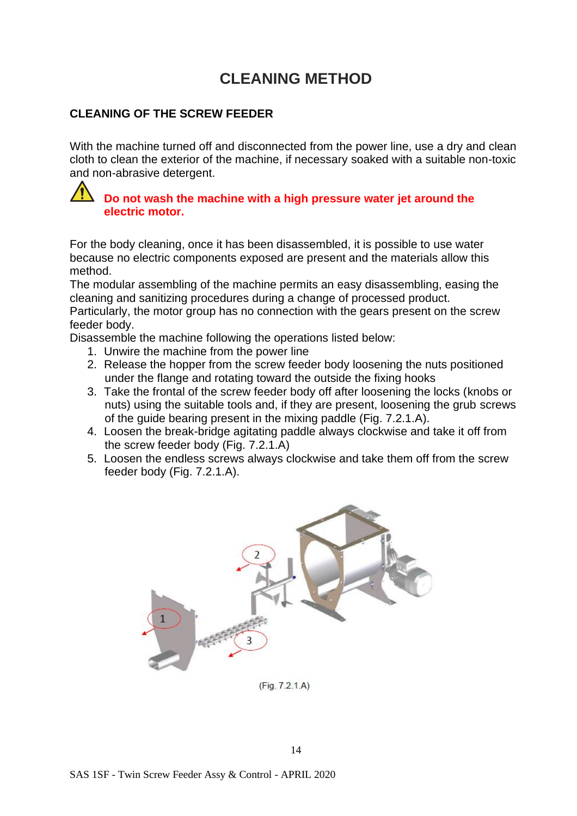## **CLEANING METHOD**

#### **CLEANING OF THE SCREW FEEDER**

With the machine turned off and disconnected from the power line, use a dry and clean cloth to clean the exterior of the machine, if necessary soaked with a suitable non-toxic and non-abrasive detergent.

#### **Do not wash the machine with a high pressure water jet around the electric motor.**

For the body cleaning, once it has been disassembled, it is possible to use water because no electric components exposed are present and the materials allow this method.

The modular assembling of the machine permits an easy disassembling, easing the cleaning and sanitizing procedures during a change of processed product.

Particularly, the motor group has no connection with the gears present on the screw feeder body.

Disassemble the machine following the operations listed below:

- 1. Unwire the machine from the power line
- 2. Release the hopper from the screw feeder body loosening the nuts positioned under the flange and rotating toward the outside the fixing hooks
- 3. Take the frontal of the screw feeder body off after loosening the locks (knobs or nuts) using the suitable tools and, if they are present, loosening the grub screws of the guide bearing present in the mixing paddle (Fig. 7.2.1.A).
- 4. Loosen the break-bridge agitating paddle always clockwise and take it off from the screw feeder body (Fig. 7.2.1.A)
- 5. Loosen the endless screws always clockwise and take them off from the screw feeder body (Fig. 7.2.1.A).



 $(Fiq. 7.2.1.A)$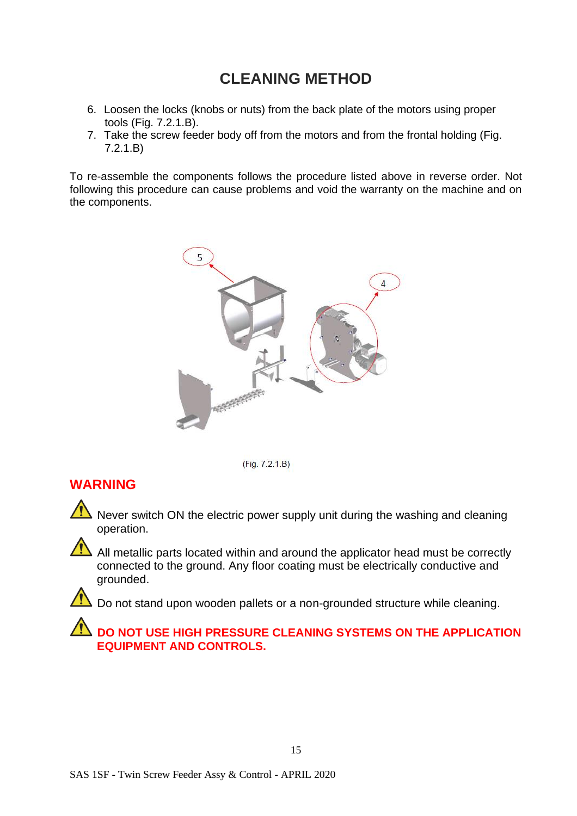## **CLEANING METHOD**

- 6. Loosen the locks (knobs or nuts) from the back plate of the motors using proper tools (Fig. 7.2.1.B).
- 7. Take the screw feeder body off from the motors and from the frontal holding (Fig. 7.2.1.B)

To re-assemble the components follows the procedure listed above in reverse order. Not following this procedure can cause problems and void the warranty on the machine and on the components.





#### **WARNING**

Never switch ON the electric power supply unit during the washing and cleaning operation.

All metallic parts located within and around the applicator head must be correctly connected to the ground. Any floor coating must be electrically conductive and grounded.

Do not stand upon wooden pallets or a non-grounded structure while cleaning.

#### **DO NOT USE HIGH PRESSURE CLEANING SYSTEMS ON THE APPLICATION EQUIPMENT AND CONTROLS.**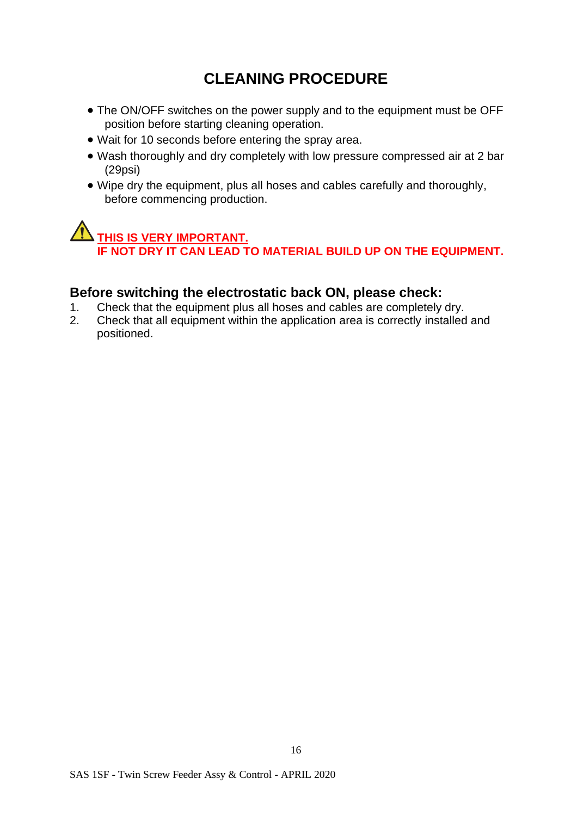## **CLEANING PROCEDURE**

- The ON/OFF switches on the power supply and to the equipment must be OFF position before starting cleaning operation.
- Wait for 10 seconds before entering the spray area.
- Wash thoroughly and dry completely with low pressure compressed air at 2 bar (29psi)
- Wipe dry the equipment, plus all hoses and cables carefully and thoroughly, before commencing production.

## **THIS IS VERY IMPORTANT. IF NOT DRY IT CAN LEAD TO MATERIAL BUILD UP ON THE EQUIPMENT.**

#### **Before switching the electrostatic back ON, please check:**

- 1. Check that the equipment plus all hoses and cables are completely dry.<br>2. Check that all equipment within the application area is correctly installed
- 2. Check that all equipment within the application area is correctly installed and positioned.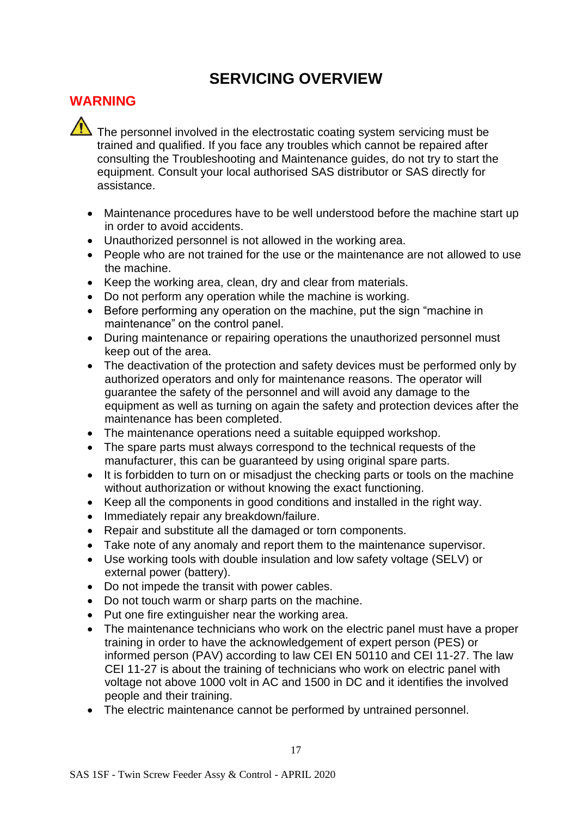## **WARNING**

 $\overline{\triangle}$  The personnel involved in the electrostatic coating system servicing must be trained and qualified. If you face any troubles which cannot be repaired after consulting the Troubleshooting and Maintenance guides, do not try to start the equipment. Consult your local authorised SAS distributor or SAS directly for assistance.

- Maintenance procedures have to be well understood before the machine start up in order to avoid accidents.
- Unauthorized personnel is not allowed in the working area.
- People who are not trained for the use or the maintenance are not allowed to use the machine.
- Keep the working area, clean, dry and clear from materials.
- Do not perform any operation while the machine is working.
- Before performing any operation on the machine, put the sign "machine in maintenance" on the control panel.
- During maintenance or repairing operations the unauthorized personnel must keep out of the area.
- The deactivation of the protection and safety devices must be performed only by authorized operators and only for maintenance reasons. The operator will guarantee the safety of the personnel and will avoid any damage to the equipment as well as turning on again the safety and protection devices after the maintenance has been completed.
- The maintenance operations need a suitable equipped workshop.
- The spare parts must always correspond to the technical requests of the manufacturer, this can be guaranteed by using original spare parts.
- It is forbidden to turn on or misadjust the checking parts or tools on the machine without authorization or without knowing the exact functioning.
- Keep all the components in good conditions and installed in the right way.
- Immediately repair any breakdown/failure.
- Repair and substitute all the damaged or torn components.
- Take note of any anomaly and report them to the maintenance supervisor.
- Use working tools with double insulation and low safety voltage (SELV) or external power (battery).
- Do not impede the transit with power cables.
- Do not touch warm or sharp parts on the machine.
- Put one fire extinguisher near the working area.
- The maintenance technicians who work on the electric panel must have a proper training in order to have the acknowledgement of expert person (PES) or informed person (PAV) according to law CEI EN 50110 and CEI 11-27. The law CEI 11-27 is about the training of technicians who work on electric panel with voltage not above 1000 volt in AC and 1500 in DC and it identifies the involved people and their training.
- The electric maintenance cannot be performed by untrained personnel.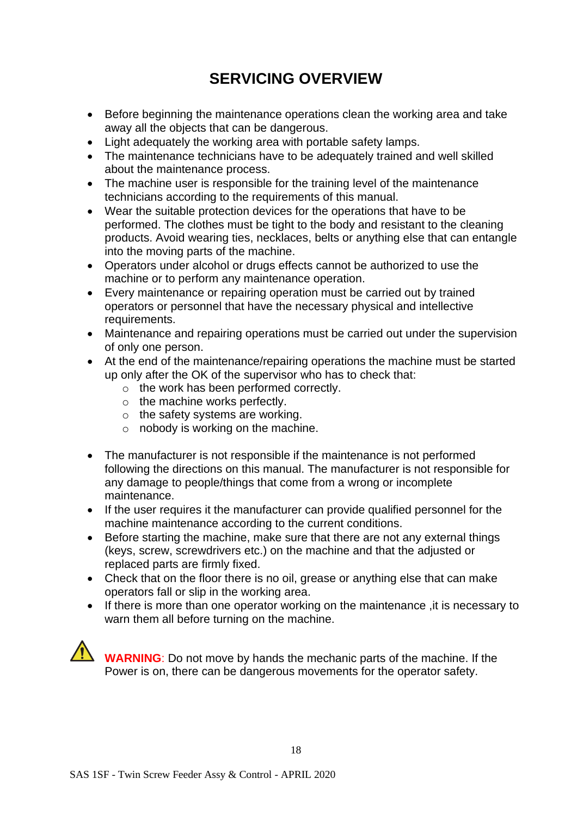- Before beginning the maintenance operations clean the working area and take away all the objects that can be dangerous.
- Light adequately the working area with portable safety lamps.
- The maintenance technicians have to be adequately trained and well skilled about the maintenance process.
- The machine user is responsible for the training level of the maintenance technicians according to the requirements of this manual.
- Wear the suitable protection devices for the operations that have to be performed. The clothes must be tight to the body and resistant to the cleaning products. Avoid wearing ties, necklaces, belts or anything else that can entangle into the moving parts of the machine.
- Operators under alcohol or drugs effects cannot be authorized to use the machine or to perform any maintenance operation.
- Every maintenance or repairing operation must be carried out by trained operators or personnel that have the necessary physical and intellective requirements.
- Maintenance and repairing operations must be carried out under the supervision of only one person.
- At the end of the maintenance/repairing operations the machine must be started up only after the OK of the supervisor who has to check that:
	- o the work has been performed correctly.
	- o the machine works perfectly.
	- $\circ$  the safety systems are working.
	- $\circ$  nobody is working on the machine.
- The manufacturer is not responsible if the maintenance is not performed following the directions on this manual. The manufacturer is not responsible for any damage to people/things that come from a wrong or incomplete maintenance.
- If the user requires it the manufacturer can provide qualified personnel for the machine maintenance according to the current conditions.
- Before starting the machine, make sure that there are not any external things (keys, screw, screwdrivers etc.) on the machine and that the adjusted or replaced parts are firmly fixed.
- Check that on the floor there is no oil, grease or anything else that can make operators fall or slip in the working area.
- If there is more than one operator working on the maintenance ,it is necessary to warn them all before turning on the machine.

**WARNING**: Do not move by hands the mechanic parts of the machine. If the Power is on, there can be dangerous movements for the operator safety.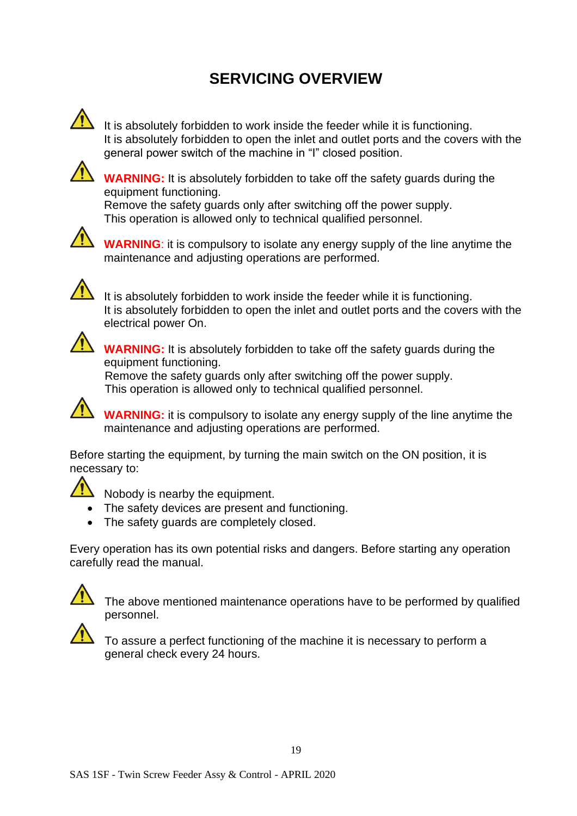

It is absolutely forbidden to work inside the feeder while it is functioning. It is absolutely forbidden to open the inlet and outlet ports and the covers with the general power switch of the machine in "I" closed position.



**WARNING:** It is absolutely forbidden to take off the safety guards during the equipment functioning.

Remove the safety guards only after switching off the power supply. This operation is allowed only to technical qualified personnel.



**WARNING**: it is compulsory to isolate any energy supply of the line anytime the maintenance and adjusting operations are performed.



It is absolutely forbidden to work inside the feeder while it is functioning. It is absolutely forbidden to open the inlet and outlet ports and the covers with the electrical power On.



**WARNING:** It is absolutely forbidden to take off the safety guards during the equipment functioning.

Remove the safety guards only after switching off the power supply. This operation is allowed only to technical qualified personnel.

**WARNING:** it is compulsory to isolate any energy supply of the line anytime the maintenance and adjusting operations are performed.

Before starting the equipment, by turning the main switch on the ON position, it is necessary to:



 $\sum_{n=1}^{\infty}$  Nobody is nearby the equipment.

- The safety devices are present and functioning.
- The safety guards are completely closed.

Every operation has its own potential risks and dangers. Before starting any operation carefully read the manual.



The above mentioned maintenance operations have to be performed by qualified personnel.



To assure a perfect functioning of the machine it is necessary to perform a general check every 24 hours.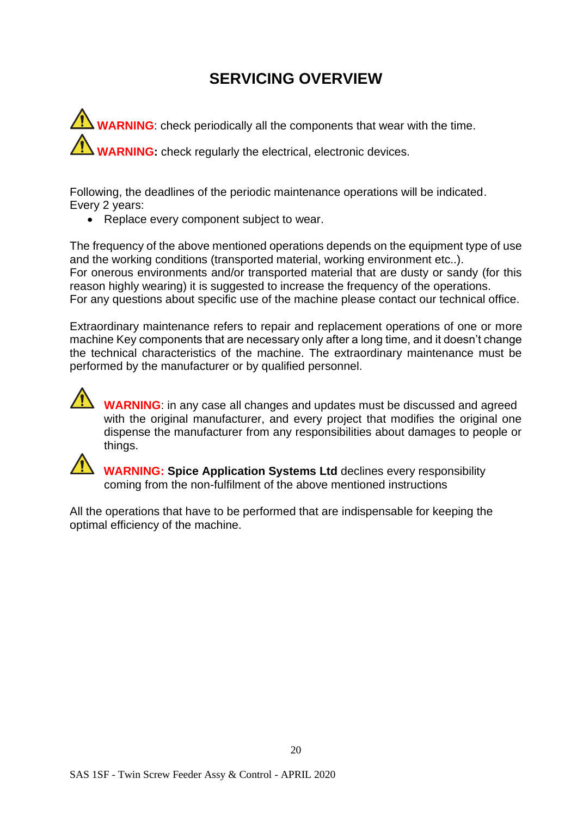**WARNING**: check periodically all the components that wear with the time. **WARNING:** check regularly the electrical, electronic devices.

Following, the deadlines of the periodic maintenance operations will be indicated. Every 2 years:

• Replace every component subject to wear.

The frequency of the above mentioned operations depends on the equipment type of use and the working conditions (transported material, working environment etc..). For onerous environments and/or transported material that are dusty or sandy (for this reason highly wearing) it is suggested to increase the frequency of the operations. For any questions about specific use of the machine please contact our technical office.

Extraordinary maintenance refers to repair and replacement operations of one or more machine Key components that are necessary only after a long time, and it doesn't change the technical characteristics of the machine. The extraordinary maintenance must be performed by the manufacturer or by qualified personnel.



**WARNING**: in any case all changes and updates must be discussed and agreed with the original manufacturer, and every project that modifies the original one dispense the manufacturer from any responsibilities about damages to people or things.



 **WARNING: Spice Application Systems Ltd** declines every responsibility coming from the non-fulfilment of the above mentioned instructions

All the operations that have to be performed that are indispensable for keeping the optimal efficiency of the machine.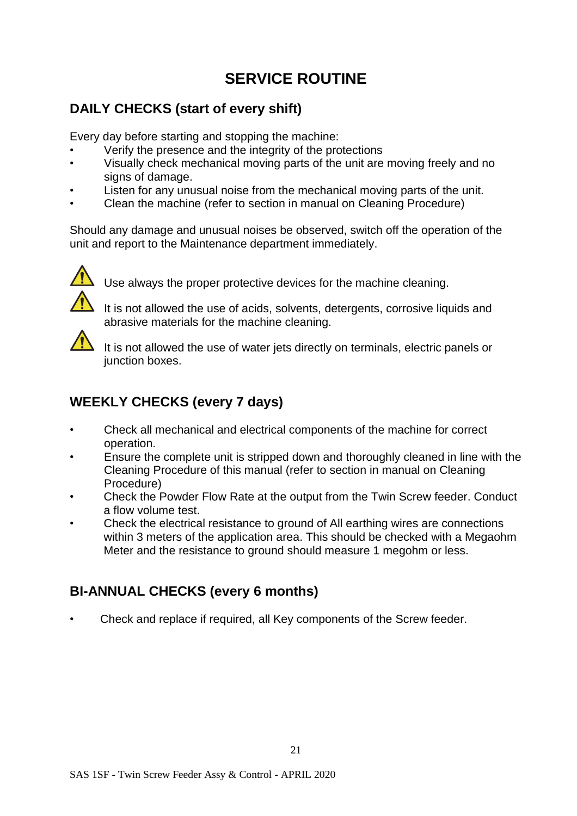## **SERVICE ROUTINE**

## **DAILY CHECKS (start of every shift)**

Every day before starting and stopping the machine:

- Verify the presence and the integrity of the protections
- Visually check mechanical moving parts of the unit are moving freely and no signs of damage.
- Listen for any unusual noise from the mechanical moving parts of the unit.
- Clean the machine (refer to section in manual on Cleaning Procedure)

Should any damage and unusual noises be observed, switch off the operation of the unit and report to the Maintenance department immediately.



Use always the proper protective devices for the machine cleaning.

It is not allowed the use of acids, solvents, detergents, corrosive liquids and abrasive materials for the machine cleaning.



It is not allowed the use of water jets directly on terminals, electric panels or junction boxes.

## **WEEKLY CHECKS (every 7 days)**

- Check all mechanical and electrical components of the machine for correct operation.
- Ensure the complete unit is stripped down and thoroughly cleaned in line with the Cleaning Procedure of this manual (refer to section in manual on Cleaning Procedure)
- Check the Powder Flow Rate at the output from the Twin Screw feeder. Conduct a flow volume test.
- Check the electrical resistance to ground of All earthing wires are connections within 3 meters of the application area. This should be checked with a Megaohm Meter and the resistance to ground should measure 1 megohm or less.

## **BI-ANNUAL CHECKS (every 6 months)**

• Check and replace if required, all Key components of the Screw feeder.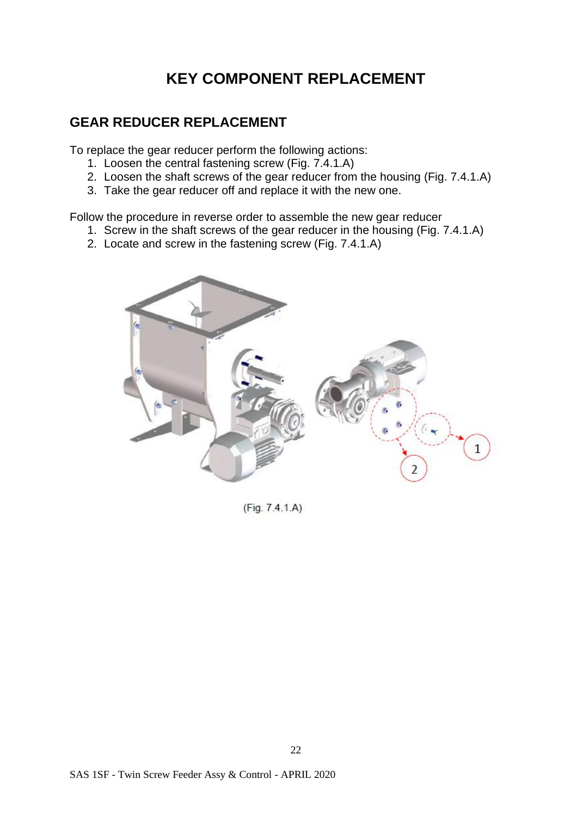## **KEY COMPONENT REPLACEMENT**

#### **GEAR REDUCER REPLACEMENT**

To replace the gear reducer perform the following actions:

- 1. Loosen the central fastening screw (Fig. 7.4.1.A)
- 2. Loosen the shaft screws of the gear reducer from the housing (Fig. 7.4.1.A)
- 3. Take the gear reducer off and replace it with the new one.

Follow the procedure in reverse order to assemble the new gear reducer

- 1. Screw in the shaft screws of the gear reducer in the housing (Fig. 7.4.1.A)
- 2. Locate and screw in the fastening screw (Fig. 7.4.1.A)



 $(Fig. 7.4.1.A)$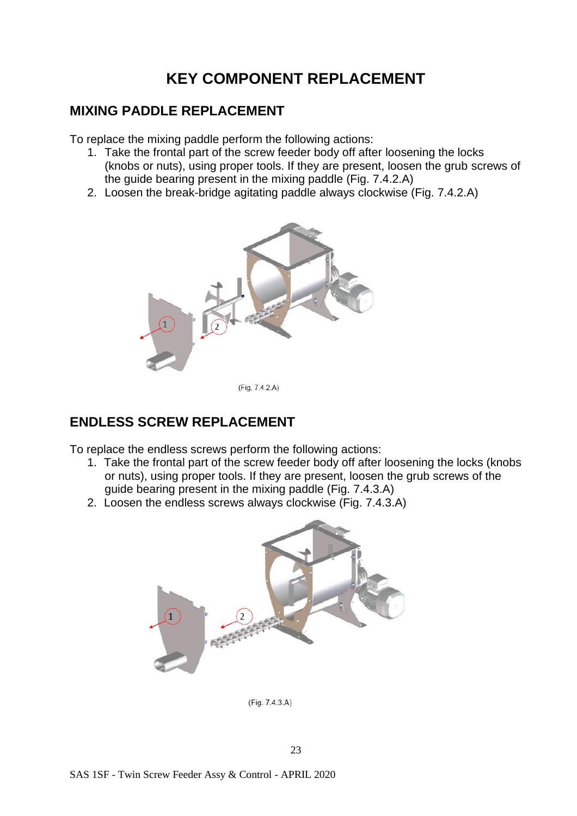## **KEY COMPONENT REPLACEMENT**

#### **MIXING PADDLE REPLACEMENT**

To replace the mixing paddle perform the following actions:

- 1. Take the frontal part of the screw feeder body off after loosening the locks (knobs or nuts), using proper tools. If they are present, loosen the grub screws of the guide bearing present in the mixing paddle (Fig. 7.4.2.A)
- 2. Loosen the break-bridge agitating paddle always clockwise (Fig. 7.4.2.A)



(Fig. 7.4.2.A)

#### **ENDLESS SCREW REPLACEMENT**

To replace the endless screws perform the following actions:

- 1. Take the frontal part of the screw feeder body off after loosening the locks (knobs or nuts), using proper tools. If they are present, loosen the grub screws of the guide bearing present in the mixing paddle (Fig. 7.4.3.A)
- 2. Loosen the endless screws always clockwise (Fig. 7.4.3.A)



(Fig. 7.4.3.A)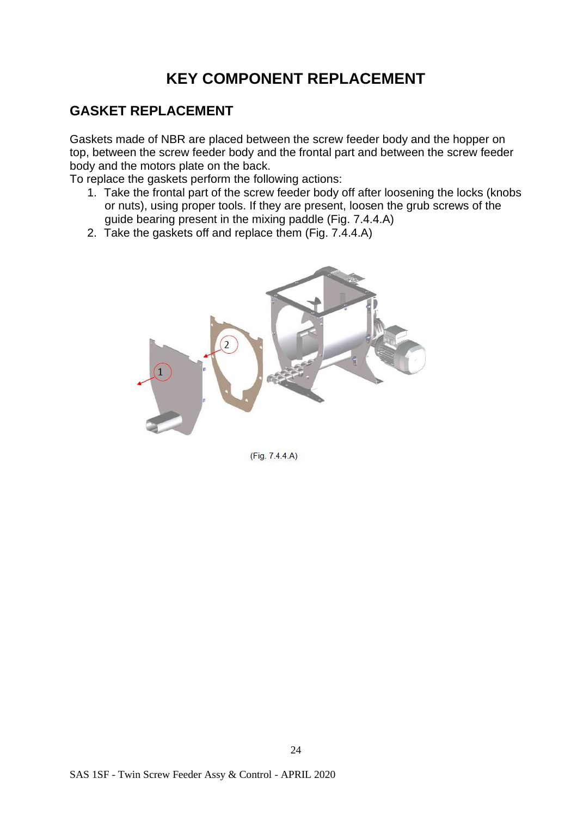## **KEY COMPONENT REPLACEMENT**

#### **GASKET REPLACEMENT**

Gaskets made of NBR are placed between the screw feeder body and the hopper on top, between the screw feeder body and the frontal part and between the screw feeder body and the motors plate on the back.

To replace the gaskets perform the following actions:

- 1. Take the frontal part of the screw feeder body off after loosening the locks (knobs or nuts), using proper tools. If they are present, loosen the grub screws of the guide bearing present in the mixing paddle (Fig. 7.4.4.A)
- 2. Take the gaskets off and replace them (Fig. 7.4.4.A)



(Fig. 7.4.4.A)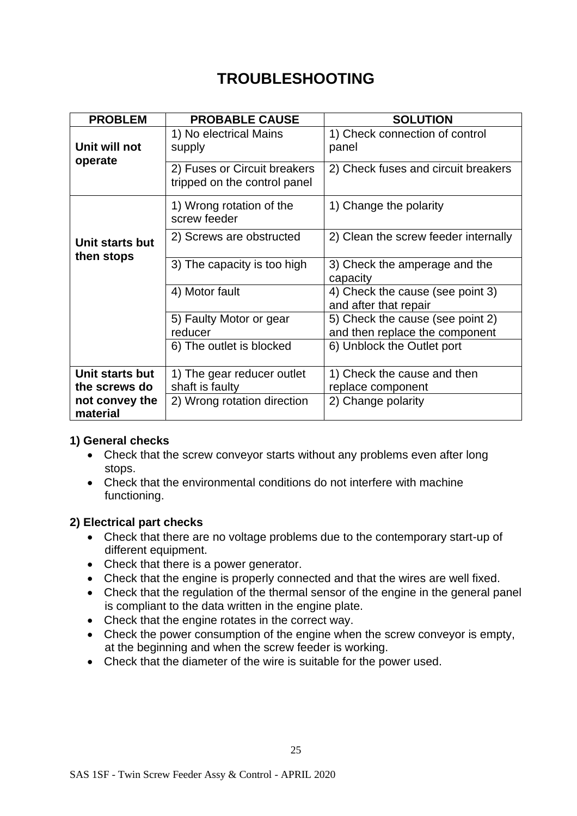## **TROUBLESHOOTING**

| <b>PROBLEM</b>                   | <b>PROBABLE CAUSE</b>                                                                             | <b>SOLUTION</b>                                                    |  |  |  |  |  |
|----------------------------------|---------------------------------------------------------------------------------------------------|--------------------------------------------------------------------|--|--|--|--|--|
| Unit will not<br>operate         | 1) No electrical Mains<br>supply                                                                  | 1) Check connection of control<br>panel                            |  |  |  |  |  |
|                                  | 2) Fuses or Circuit breakers<br>tripped on the control panel                                      | 2) Check fuses and circuit breakers                                |  |  |  |  |  |
|                                  | 1) Wrong rotation of the<br>screw feeder                                                          | 1) Change the polarity                                             |  |  |  |  |  |
| Unit starts but<br>then stops    | 2) Screws are obstructed                                                                          | 2) Clean the screw feeder internally                               |  |  |  |  |  |
|                                  | 3) The capacity is too high                                                                       | 3) Check the amperage and the<br>capacity                          |  |  |  |  |  |
|                                  | 4) Motor fault                                                                                    | 4) Check the cause (see point 3)<br>and after that repair          |  |  |  |  |  |
|                                  | 5) Faulty Motor or gear<br>reducer                                                                | 5) Check the cause (see point 2)<br>and then replace the component |  |  |  |  |  |
|                                  | 6) The outlet is blocked                                                                          | 6) Unblock the Outlet port                                         |  |  |  |  |  |
| Unit starts but<br>the screws do | 1) Check the cause and then<br>1) The gear reducer outlet<br>shaft is faulty<br>replace component |                                                                    |  |  |  |  |  |
| not convey the<br>material       | 2) Wrong rotation direction                                                                       | 2) Change polarity                                                 |  |  |  |  |  |

#### **1) General checks**

- Check that the screw conveyor starts without any problems even after long stops.
- Check that the environmental conditions do not interfere with machine functioning.

#### **2) Electrical part checks**

- Check that there are no voltage problems due to the contemporary start-up of different equipment.
- Check that there is a power generator.
- Check that the engine is properly connected and that the wires are well fixed.
- Check that the regulation of the thermal sensor of the engine in the general panel is compliant to the data written in the engine plate.
- Check that the engine rotates in the correct way.
- Check the power consumption of the engine when the screw conveyor is empty, at the beginning and when the screw feeder is working.
- Check that the diameter of the wire is suitable for the power used.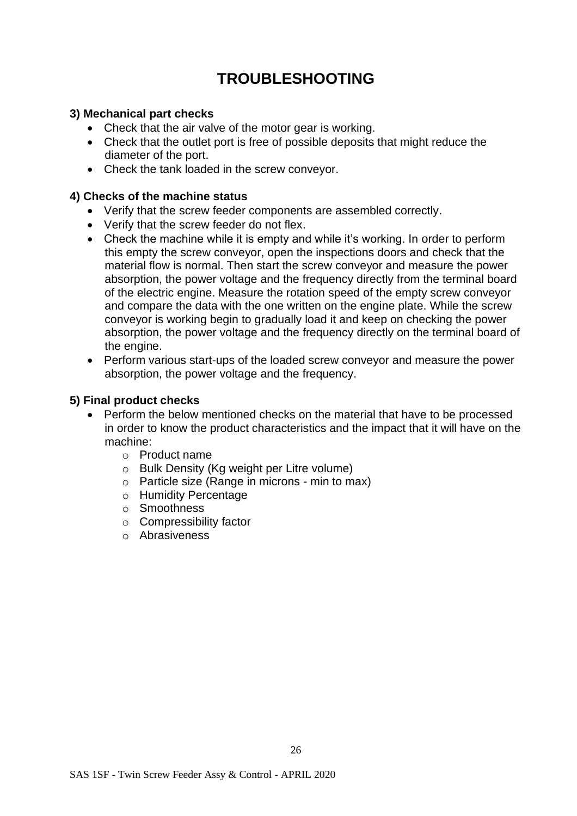## **TROUBLESHOOTING**

#### **3) Mechanical part checks**

- Check that the air valve of the motor gear is working.
- Check that the outlet port is free of possible deposits that might reduce the diameter of the port.
- Check the tank loaded in the screw conveyor.

#### **4) Checks of the machine status**

- Verify that the screw feeder components are assembled correctly.
- Verify that the screw feeder do not flex.
- Check the machine while it is empty and while it's working. In order to perform this empty the screw conveyor, open the inspections doors and check that the material flow is normal. Then start the screw conveyor and measure the power absorption, the power voltage and the frequency directly from the terminal board of the electric engine. Measure the rotation speed of the empty screw conveyor and compare the data with the one written on the engine plate. While the screw conveyor is working begin to gradually load it and keep on checking the power absorption, the power voltage and the frequency directly on the terminal board of the engine.
- Perform various start-ups of the loaded screw conveyor and measure the power absorption, the power voltage and the frequency.

#### **5) Final product checks**

- Perform the below mentioned checks on the material that have to be processed in order to know the product characteristics and the impact that it will have on the machine:
	- o Product name
	- o Bulk Density (Kg weight per Litre volume)
	- o Particle size (Range in microns min to max)
	- o Humidity Percentage
	- o Smoothness
	- o Compressibility factor
	- o Abrasiveness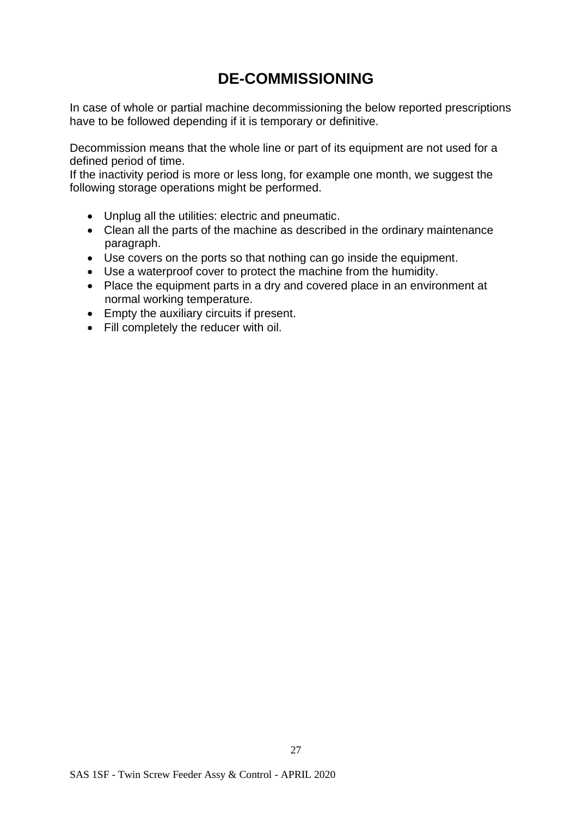## **DE-COMMISSIONING**

In case of whole or partial machine decommissioning the below reported prescriptions have to be followed depending if it is temporary or definitive.

Decommission means that the whole line or part of its equipment are not used for a defined period of time.

If the inactivity period is more or less long, for example one month, we suggest the following storage operations might be performed.

- Unplug all the utilities: electric and pneumatic.
- Clean all the parts of the machine as described in the ordinary maintenance paragraph.
- Use covers on the ports so that nothing can go inside the equipment.
- Use a waterproof cover to protect the machine from the humidity.
- Place the equipment parts in a dry and covered place in an environment at normal working temperature.
- Empty the auxiliary circuits if present.
- Fill completely the reducer with oil.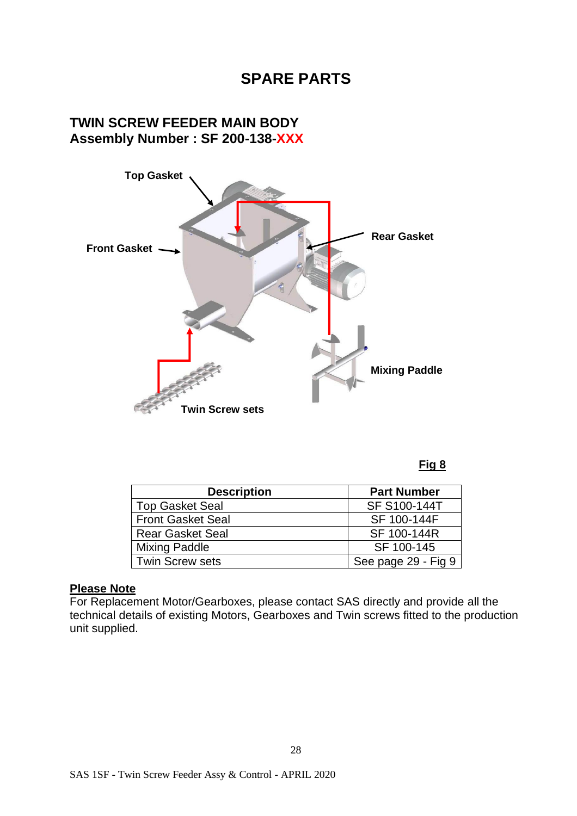## **SPARE PARTS**

#### **TWIN SCREW FEEDER MAIN BODY Assembly Number : SF 200-138-XXX**



#### **Fig 8**

| <b>Description</b>       | <b>Part Number</b>  |
|--------------------------|---------------------|
| <b>Top Gasket Seal</b>   | SF S100-144T        |
| <b>Front Gasket Seal</b> | SF 100-144F         |
| <b>Rear Gasket Seal</b>  | SF 100-144R         |
| <b>Mixing Paddle</b>     | SF 100-145          |
| <b>Twin Screw sets</b>   | See page 29 - Fig 9 |

#### **Please Note**

For Replacement Motor/Gearboxes, please contact SAS directly and provide all the technical details of existing Motors, Gearboxes and Twin screws fitted to the production unit supplied.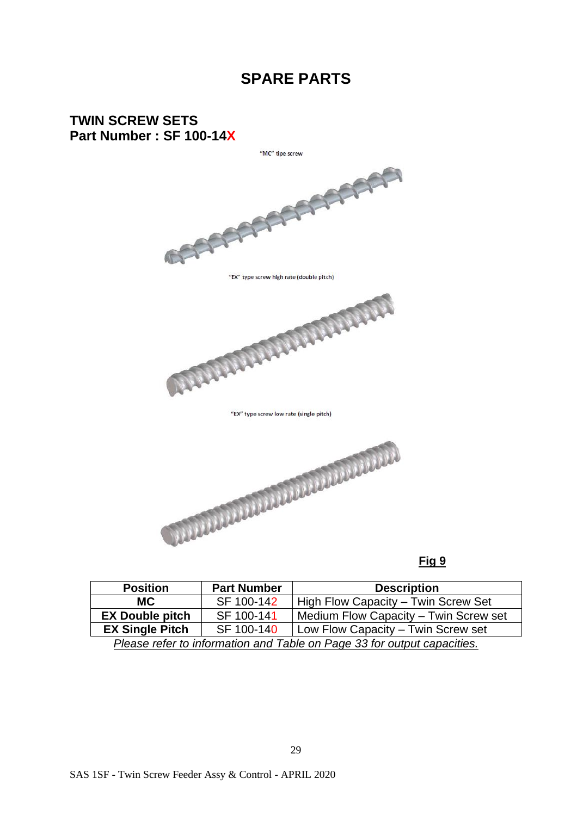## **SPARE PARTS**

# **TWIN SCREW SETS Part Number : SF 100-14X** "MC" tipe screw "EX" type screw high rate (double pitch) **ANDREW PRESERVED** "EX" type screw low rate (single pitch)

#### **Fig 9**

| <b>Position</b>                                                            | <b>Part Number</b> | <b>Description</b>                    |  |  |  |  |  |
|----------------------------------------------------------------------------|--------------------|---------------------------------------|--|--|--|--|--|
| <b>MC</b>                                                                  | SF 100-142         | High Flow Capacity - Twin Screw Set   |  |  |  |  |  |
| <b>EX Double pitch</b>                                                     | SF 100-141         | Medium Flow Capacity - Twin Screw set |  |  |  |  |  |
| <b>EX Single Pitch</b><br>SF 100-140<br>Low Flow Capacity - Twin Screw set |                    |                                       |  |  |  |  |  |
| Please refer to information and Table on Page 33 for output capacities.    |                    |                                       |  |  |  |  |  |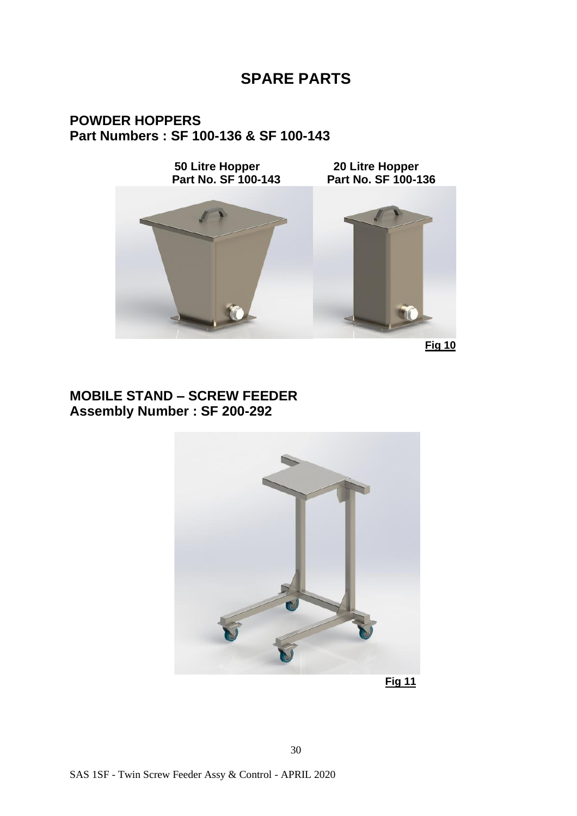## **SPARE PARTS**

#### **POWDER HOPPERS Part Numbers : SF 100-136 & SF 100-143**

**50 Litre Hopper 20 Litre Hopper Part No. SF 100-143 Part No. SF 100-136**



 **Fig 10**

#### **MOBILE STAND – SCREW FEEDER Assembly Number : SF 200-292**



**Fig 11**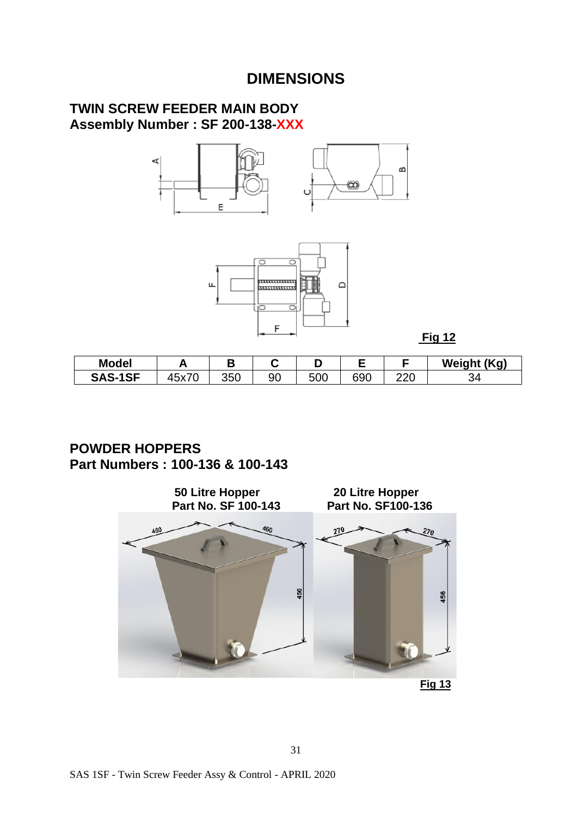## **DIMENSIONS**

#### **TWIN SCREW FEEDER MAIN BODY Assembly Number : SF 200-138-XXX**





**Fig 12**

| <b>Model</b>   |                       |     |    |     |     |            | <b>Weight (Kg)</b> |
|----------------|-----------------------|-----|----|-----|-----|------------|--------------------|
| <b>SAS-1SF</b> | $\sqrt{2}$<br>ີ່<br>◡ | 350 | 90 | 500 | 690 | חרח<br>ZZU | -94                |

#### **POWDER HOPPERS Part Numbers : 100-136 & 100-143**

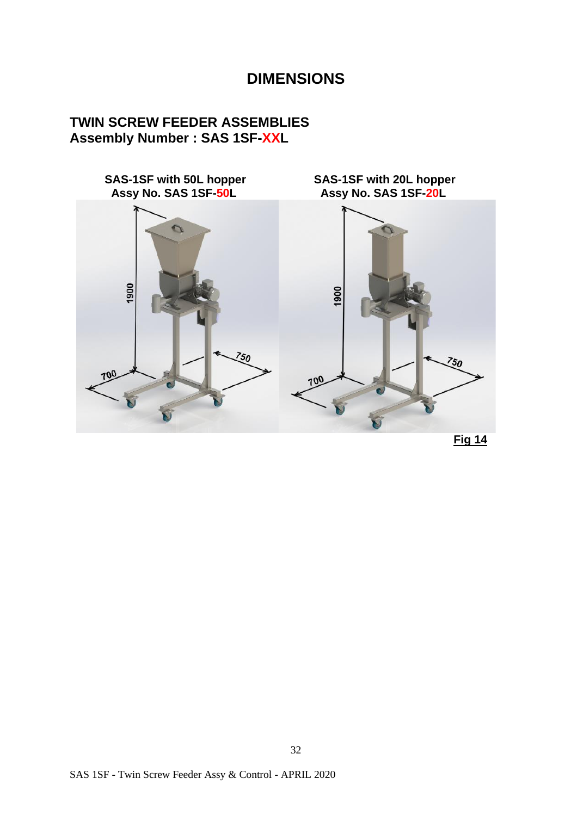## **DIMENSIONS**

#### **TWIN SCREW FEEDER ASSEMBLIES Assembly Number : SAS 1SF-XXL**

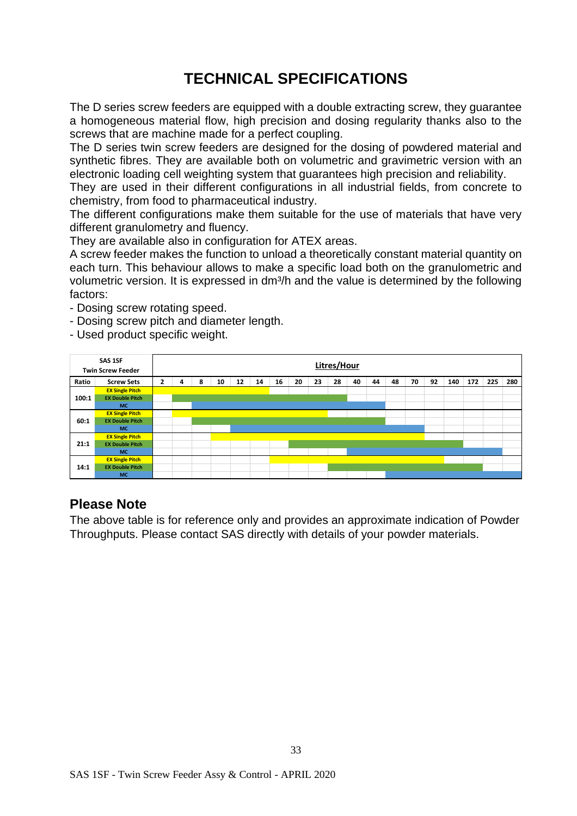## **TECHNICAL SPECIFICATIONS**

The D series screw feeders are equipped with a double extracting screw, they guarantee a homogeneous material flow, high precision and dosing regularity thanks also to the screws that are machine made for a perfect coupling.

The D series twin screw feeders are designed for the dosing of powdered material and synthetic fibres. They are available both on volumetric and gravimetric version with an electronic loading cell weighting system that guarantees high precision and reliability.

They are used in their different configurations in all industrial fields, from concrete to chemistry, from food to pharmaceutical industry.

The different configurations make them suitable for the use of materials that have very different granulometry and fluency.

They are available also in configuration for ATEX areas.

A screw feeder makes the function to unload a theoretically constant material quantity on each turn. This behaviour allows to make a specific load both on the granulometric and volumetric version. It is expressed in dm<sup>3</sup>/h and the value is determined by the following factors:

- Dosing screw rotating speed.
- Dosing screw pitch and diameter length.
- Used product specific weight.

|       | SAS 1SF<br><b>Twin Screw Feeder</b> |                |   |   |    |    |    |    |    |    | Litres/Hour |    |    |    |    |    |     |     |     |     |
|-------|-------------------------------------|----------------|---|---|----|----|----|----|----|----|-------------|----|----|----|----|----|-----|-----|-----|-----|
| Ratio | <b>Screw Sets</b>                   | $\overline{2}$ | 4 | 8 | 10 | 12 | 14 | 16 | 20 | 23 | 28          | 40 | 44 | 48 | 70 | 92 | 140 | 172 | 225 | 280 |
|       | <b>EX Single Pitch</b>              |                |   |   |    |    |    |    |    |    |             |    |    |    |    |    |     |     |     |     |
| 100:1 | <b>EX Double Pitch</b>              |                |   |   |    |    |    |    |    |    |             |    |    |    |    |    |     |     |     |     |
|       | <b>MC</b>                           |                |   |   |    |    |    |    |    |    |             |    |    |    |    |    |     |     |     |     |
|       | <b>EX Single Pitch</b>              |                |   |   |    |    |    |    |    |    |             |    |    |    |    |    |     |     |     |     |
| 60:1  | <b>EX Double Pitch</b>              |                |   |   |    |    |    |    |    |    |             |    |    |    |    |    |     |     |     |     |
|       | <b>MC</b>                           |                |   |   |    |    |    |    |    |    |             |    |    |    |    |    |     |     |     |     |
|       | <b>EX Single Pitch</b>              |                |   |   |    |    |    |    |    |    |             |    |    |    |    |    |     |     |     |     |
| 21:1  | <b>EX Double Pitch</b>              |                |   |   |    |    |    |    |    |    |             |    |    |    |    |    |     |     |     |     |
|       | <b>MC</b>                           |                |   |   |    |    |    |    |    |    |             |    |    |    |    |    |     |     |     |     |
|       | <b>EX Single Pitch</b>              |                |   |   |    |    |    |    |    |    |             |    |    |    |    |    |     |     |     |     |
| 14:1  | <b>EX Double Pitch</b>              |                |   |   |    |    |    |    |    |    |             |    |    |    |    |    |     |     |     |     |
|       | <b>MC</b>                           |                |   |   |    |    |    |    |    |    |             |    |    |    |    |    |     |     |     |     |

#### **Please Note**

The above table is for reference only and provides an approximate indication of Powder Throughputs. Please contact SAS directly with details of your powder materials.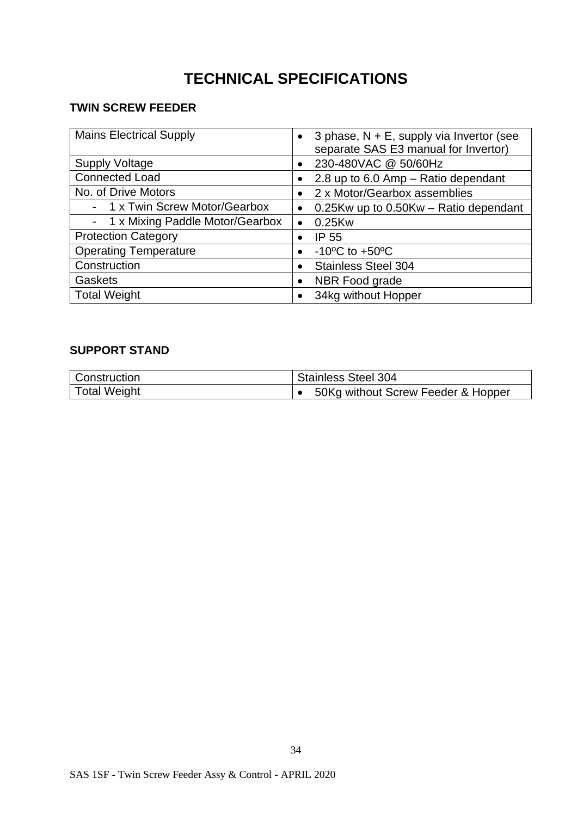## **TECHNICAL SPECIFICATIONS**

#### **TWIN SCREW FEEDER**

| <b>Mains Electrical Supply</b>    | 3 phase, $N + E$ , supply via Invertor (see<br>$\bullet$<br>separate SAS E3 manual for Invertor) |
|-----------------------------------|--------------------------------------------------------------------------------------------------|
| <b>Supply Voltage</b>             | 230-480VAC @ 50/60Hz<br>$\bullet$                                                                |
| <b>Connected Load</b>             | 2.8 up to 6.0 Amp - Ratio dependant                                                              |
| No. of Drive Motors               | 2 x Motor/Gearbox assemblies<br>$\bullet$                                                        |
| - 1 x Twin Screw Motor/Gearbox    | 0.25Kw up to 0.50Kw – Ratio dependant<br>$\bullet$                                               |
| - 1 x Mixing Paddle Motor/Gearbox | 0.25Kw<br>$\bullet$                                                                              |
| <b>Protection Category</b>        | <b>IP 55</b><br>$\bullet$                                                                        |
| <b>Operating Temperature</b>      | $-10^{\circ}$ C to $+50^{\circ}$ C<br>$\bullet$                                                  |
| Construction                      | <b>Stainless Steel 304</b>                                                                       |
| <b>Gaskets</b>                    | NBR Food grade<br>$\bullet$                                                                      |
| <b>Total Weight</b>               | 34kg without Hopper                                                                              |

#### **SUPPORT STAND**

| Construction        | <b>Stainless Steel 304</b>         |
|---------------------|------------------------------------|
| <b>Total Weight</b> | 50Kg without Screw Feeder & Hopper |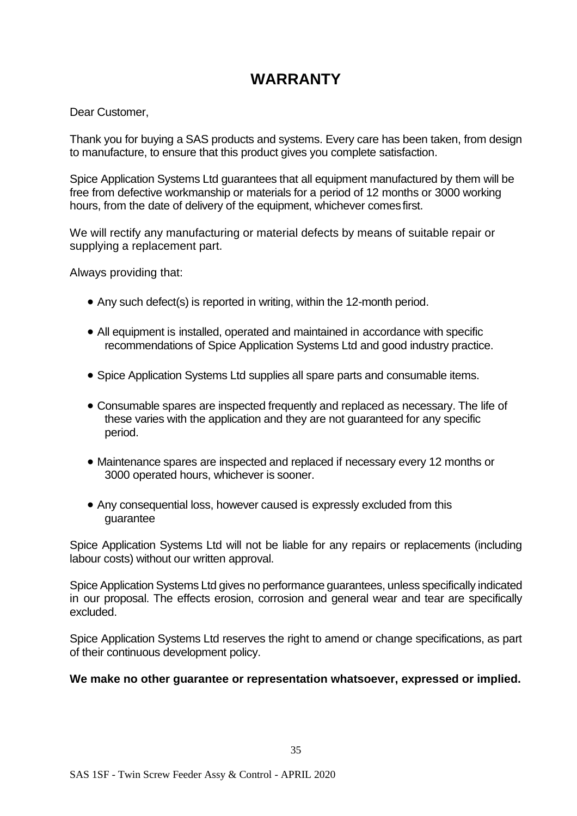## **WARRANTY**

Dear Customer,

Thank you for buying a SAS products and systems. Every care has been taken, from design to manufacture, to ensure that this product gives you complete satisfaction.

Spice Application Systems Ltd guarantees that all equipment manufactured by them will be free from defective workmanship or materials for a period of 12 months or 3000 working hours, from the date of delivery of the equipment, whichever comesfirst.

We will rectify any manufacturing or material defects by means of suitable repair or supplying a replacement part.

Always providing that:

- Any such defect(s) is reported in writing, within the 12-month period.
- All equipment is installed, operated and maintained in accordance with specific recommendations of Spice Application Systems Ltd and good industry practice.
- Spice Application Systems Ltd supplies all spare parts and consumable items.
- Consumable spares are inspected frequently and replaced as necessary. The life of these varies with the application and they are not guaranteed for any specific period.
- Maintenance spares are inspected and replaced if necessary every 12 months or 3000 operated hours, whichever is sooner.
- Any consequential loss, however caused is expressly excluded from this guarantee

Spice Application Systems Ltd will not be liable for any repairs or replacements (including labour costs) without our written approval.

Spice Application Systems Ltd gives no performance guarantees, unless specifically indicated in our proposal. The effects erosion, corrosion and general wear and tear are specifically excluded.

Spice Application Systems Ltd reserves the right to amend or change specifications, as part of their continuous development policy.

#### **We make no other guarantee or representation whatsoever, expressed or implied.**